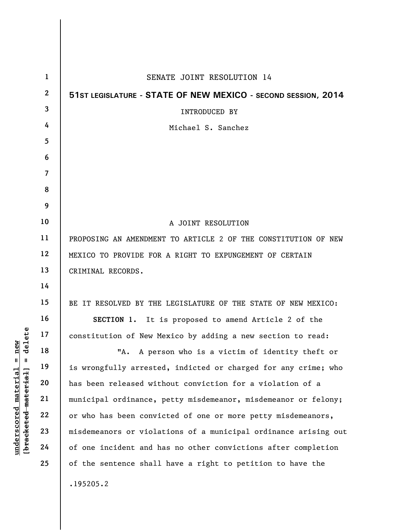| $\mathbf{1}$ | SENATE JOINT RESOLUTION 14                                      |
|--------------|-----------------------------------------------------------------|
| $\mathbf{2}$ | 51ST LEGISLATURE - STATE OF NEW MEXICO - SECOND SESSION, 2014   |
| 3            | <b>INTRODUCED BY</b>                                            |
| 4            | Michael S. Sanchez                                              |
| 5            |                                                                 |
| 6            |                                                                 |
| 7            |                                                                 |
| 8            |                                                                 |
| 9            |                                                                 |
| 10           | A JOINT RESOLUTION                                              |
| 11           | PROPOSING AN AMENDMENT TO ARTICLE 2 OF THE CONSTITUTION OF NEW  |
| 12           | MEXICO TO PROVIDE FOR A RIGHT TO EXPUNGEMENT OF CERTAIN         |
| 13           | CRIMINAL RECORDS.                                               |
| 14           |                                                                 |
| 15           | BE IT RESOLVED BY THE LEGISLATURE OF THE STATE OF NEW MEXICO:   |
| 16           | SECTION 1. It is proposed to amend Article 2 of the             |
| 17           | constitution of New Mexico by adding a new section to read:     |
| 18           | "A. A person who is a victim of identity theft or               |
| 19           | is wrongfully arrested, indicted or charged for any crime; who  |
| 20           | has been released without conviction for a violation of a       |
| 21           | municipal ordinance, petty misdemeanor, misdemeanor or felony;  |
| 22           | or who has been convicted of one or more petty misdemeanors,    |
| 23           | misdemeanors or violations of a municipal ordinance arising out |
| 24           | of one incident and has no other convictions after completion   |
| 25           | of the sentence shall have a right to petition to have the      |
|              | .195205.2                                                       |

 $[**bracket eted metert et**] = **del et e**$ **[bracketed material] = delete**  $underscored material = new$ **underscored material = new**

 $\overline{\phantom{a}}$